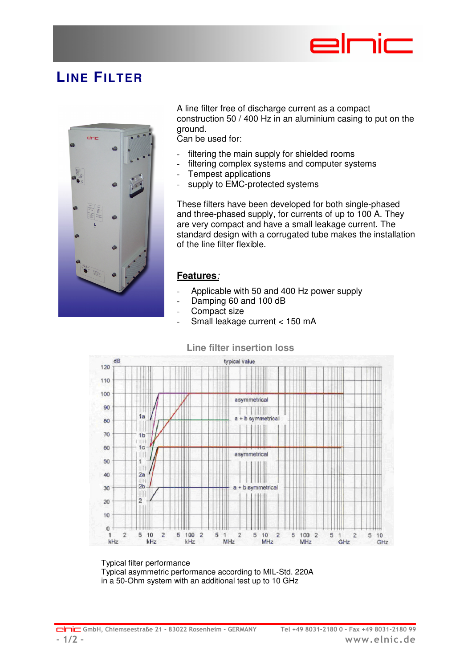

## **LINE FILTER**



A line filter free of discharge current as a compact construction 50 / 400 Hz in an aluminium casing to put on the ground.

Can be used for:

- filtering the main supply for shielded rooms
- filtering complex systems and computer systems
- Tempest applications
- supply to EMC-protected systems

These filters have been developed for both single-phased and three-phased supply, for currents of up to 100 A. They are very compact and have a small leakage current. The standard design with a corrugated tube makes the installation of the line filter flexible.

## **Features**:

- Applicable with 50 and 400 Hz power supply
- Damping 60 and 100 dB
- Compact size
- Small leakage current < 150 mA

## **Line filter insertion loss**



Typical filter performance Typical asymmetric performance according to MIL-Std. 220A in a 50-Ohm system with an additional test up to 10 GHz